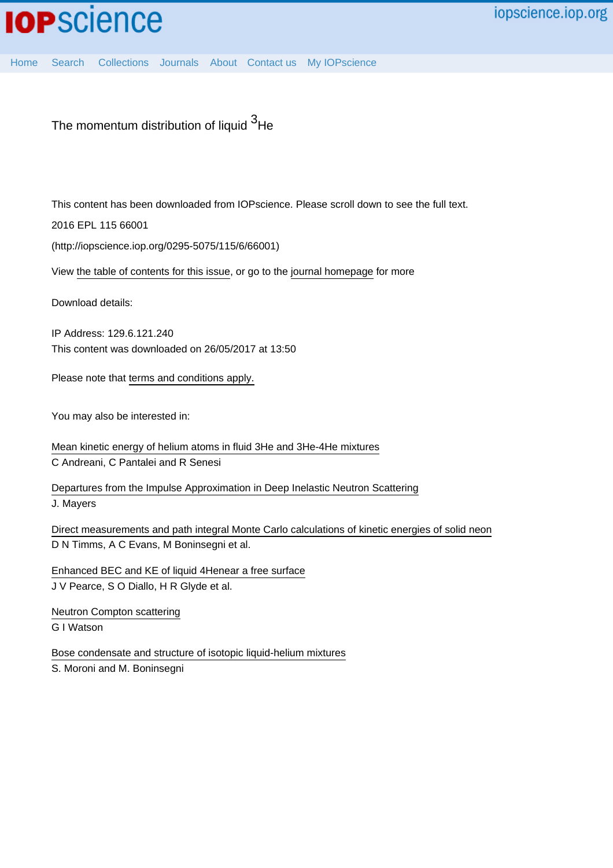[Home](http://iopscience.iop.org/) [Search](http://iopscience.iop.org/search) [Collections](http://iopscience.iop.org/collections) [Journals](http://iopscience.iop.org/journals) [About](http://iopscience.iop.org/page/aboutioppublishing) [Contact us](http://iopscience.iop.org/contact) [My IOPscience](http://iopscience.iop.org/myiopscience)

The momentum distribution of liquid <sup>3</sup>He

This content has been downloaded from IOPscience. Please scroll down to see the full text.

2016 EPL 115 66001

(http://iopscience.iop.org/0295-5075/115/6/66001)

View [the table of contents for this issue](http://iopscience.iop.org/0295-5075/115/6), or go to the [journal homepage](http://iopscience.iop.org/0295-5075) for more

Download details:

IP Address: 129.6.121.240 This content was downloaded on 26/05/2017 at 13:50

Please note that [terms and conditions apply.](http://iopscience.iop.org/page/terms)

You may also be interested in:

[Mean kinetic energy of helium atoms in fluid 3He and 3He-4He mixtures](http://iopscience.iop.org/article/10.1088/0953-8984/18/24/001) C Andreani, C Pantalei and R Senesi

[Departures from the Impulse Approximation in Deep Inelastic Neutron Scattering](http://iopscience.iop.org/article/10.1209/0295-5075/10/8/005) J. Mayers

[Direct measurements and path integral Monte Carlo calculations of kinetic energies of solid neon](http://iopscience.iop.org/article/10.1088/0953-8984/8/36/018) D N Timms, A C Evans, M Boninsegni et al.

[Enhanced BEC and KE of liquid 4Henear a free surface](http://iopscience.iop.org/article/10.1088/0953-8984/16/24/020) J V Pearce, S O Diallo, H R Glyde et al.

[Neutron Compton scattering](http://iopscience.iop.org/article/10.1088/0953-8984/8/33/005) G I Watson

[Bose condensate and structure of isotopic liquid-helium mixtures](http://iopscience.iop.org/article/10.1209/epl/i1997-00462-x) S. Moroni and M. Boninsegni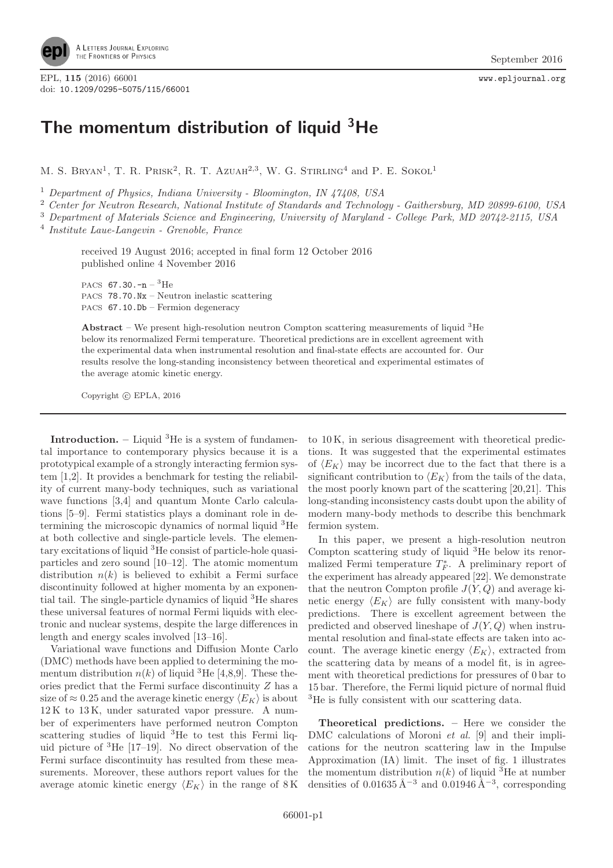

EPL, 115 (2016) 66001 www.epljournal.org<br>doi: 10,1209/0295-5075/115/66001 doi: 10.1209/0295-5075/115/66001

## **The momentum distribution of liquid 3He**

M. S. BRYAN<sup>1</sup>, T. R. PRISK<sup>2</sup>, R. T. AZUAH<sup>2,3</sup>, W. G. STIRLING<sup>4</sup> and P. E. SOKOL<sup>1</sup>

<sup>1</sup> *Department of Physics, Indiana University - Bloomington, IN 47408, USA*

<sup>2</sup> *Center for Neutron Research, National Institute of Standards and Technology - Gaithersburg, MD 20899-6100, USA*

<sup>3</sup> *Department of Materials Science and Engineering, University of Maryland - College Park, MD 20742-2115, USA*

<sup>4</sup> *Institute Laue-Langevin - Grenoble, France*

received 19 August 2016; accepted in final form 12 October 2016 published online 4 November 2016

PACS  $67.30 - n - 3$ He PACS 78.70.Nx – Neutron inelastic scattering PACS 67.10.Db – Fermion degeneracy

**Abstract** – We present high-resolution neutron Compton scattering measurements of liquid <sup>3</sup>He below its renormalized Fermi temperature. Theoretical predictions are in excellent agreement with the experimental data when instrumental resolution and final-state effects are accounted for. Our results resolve the long-standing inconsistency between theoretical and experimental estimates of the average atomic kinetic energy.

Copyright (C) EPLA, 2016

**Introduction.** – Liquid <sup>3</sup>He is a system of fundamental importance to contemporary physics because it is a prototypical example of a strongly interacting fermion system [1,2]. It provides a benchmark for testing the reliability of current many-body techniques, such as variational wave functions [3,4] and quantum Monte Carlo calculations [5–9]. Fermi statistics plays a dominant role in determining the microscopic dynamics of normal liquid <sup>3</sup>He at both collective and single-particle levels. The elementary excitations of liquid <sup>3</sup>He consist of particle-hole quasiparticles and zero sound [10–12]. The atomic momentum distribution  $n(k)$  is believed to exhibit a Fermi surface discontinuity followed at higher momenta by an exponential tail. The single-particle dynamics of liquid <sup>3</sup>He shares these universal features of normal Fermi liquids with electronic and nuclear systems, despite the large differences in length and energy scales involved [13–16].

Variational wave functions and Diffusion Monte Carlo (DMC) methods have been applied to determining the momentum distribution  $n(k)$  of liquid <sup>3</sup>He [4,8,9]. These theories predict that the Fermi surface discontinuity Z has a size of  $\approx 0.25$  and the average kinetic energy  $\langle E_K \rangle$  is about 12 K to 13 K, under saturated vapor pressure. A number of experimenters have performed neutron Compton scattering studies of liquid  ${}^{3}$ He to test this Fermi liquid picture of <sup>3</sup>He [17–19]. No direct observation of the Fermi surface discontinuity has resulted from these measurements. Moreover, these authors report values for the average atomic kinetic energy  $\langle E_K \rangle$  in the range of 8 K

to 10 K, in serious disagreement with theoretical predictions. It was suggested that the experimental estimates of  $\langle E_K \rangle$  may be incorrect due to the fact that there is a significant contribution to  $\langle E_K \rangle$  from the tails of the data, the most poorly known part of the scattering [20,21]. This long-standing inconsistency casts doubt upon the ability of modern many-body methods to describe this benchmark fermion system.

In this paper, we present a high-resolution neutron Compton scattering study of liquid <sup>3</sup>He below its renormalized Fermi temperature  $T_F^*$ . A preliminary report of the experiment has already appeared [22]. We demonstrate that the neutron Compton profile  $J(Y,Q)$  and average kinetic energy  $\langle E_K \rangle$  are fully consistent with many-body predictions. There is excellent agreement between the predicted and observed lineshape of  $J(Y,Q)$  when instrumental resolution and final-state effects are taken into account. The average kinetic energy  $\langle E_K \rangle$ , extracted from the scattering data by means of a model fit, is in agreement with theoretical predictions for pressures of 0 bar to 15 bar. Therefore, the Fermi liquid picture of normal fluid <sup>3</sup>He is fully consistent with our scattering data.

**Theoretical predictions. –** Here we consider the DMC calculations of Moroni *et al.* [9] and their implications for the neutron scattering law in the Impulse Approximation (IA) limit. The inset of fig. 1 illustrates the momentum distribution  $n(k)$  of liquid <sup>3</sup>He at number densities of  $0.01635 \text{ Å}^{-3}$  and  $0.01946 \text{ Å}^{-3}$ , corresponding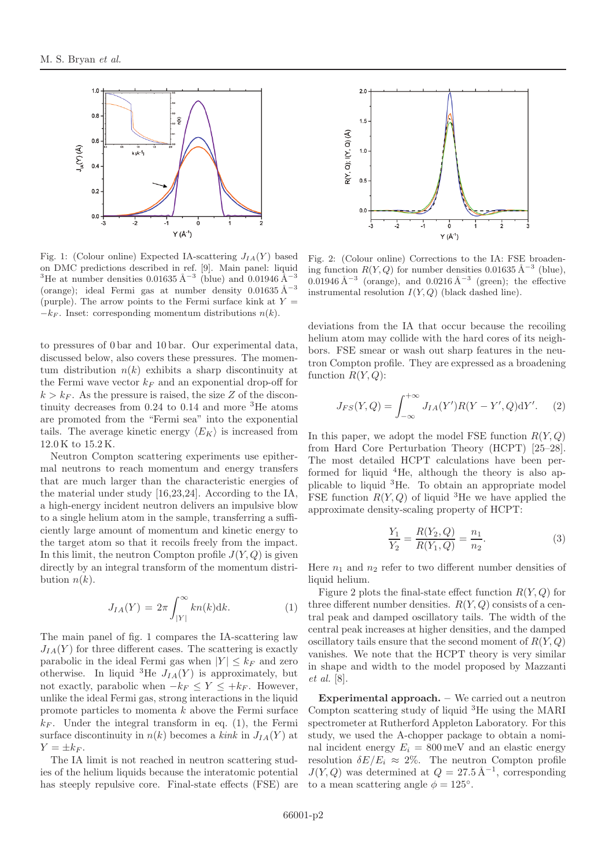

Fig. 1: (Colour online) Expected IA-scattering  $J_{IA}(Y)$  based on DMC predictions described in ref. [9]. Main panel: liquid <sup>3</sup>He at number densities 0.01635 Å<sup>-3</sup> (blue) and 0.01946 Å<sup>-3</sup> (orange); ideal Fermi gas at number density  $0.01635 \text{ Å}^{-3}$ (purple). The arrow points to the Fermi surface kink at  $Y =$  $-k_F$ . Inset: corresponding momentum distributions  $n(k)$ .

to pressures of 0 bar and 10 bar. Our experimental data, discussed below, also covers these pressures. The momentum distribution  $n(k)$  exhibits a sharp discontinuity at the Fermi wave vector  $k_F$  and an exponential drop-off for  $k > k_F$ . As the pressure is raised, the size Z of the discontinuity decreases from  $0.24$  to  $0.14$  and more <sup>3</sup>He atoms are promoted from the "Fermi sea" into the exponential tails. The average kinetic energy  $\langle E_K \rangle$  is increased from 12.0 K to 15.2 K.

Neutron Compton scattering experiments use epithermal neutrons to reach momentum and energy transfers that are much larger than the characteristic energies of the material under study [16,23,24]. According to the IA, a high-energy incident neutron delivers an impulsive blow to a single helium atom in the sample, transferring a sufficiently large amount of momentum and kinetic energy to the target atom so that it recoils freely from the impact. In this limit, the neutron Compton profile  $J(Y,Q)$  is given directly by an integral transform of the momentum distribution  $n(k)$ .

$$
J_{IA}(Y) = 2\pi \int_{|Y|}^{\infty} kn(k)dk.
$$
 (1)

The main panel of fig. 1 compares the IA-scattering law  $J_{IA}(Y)$  for three different cases. The scattering is exactly parabolic in the ideal Fermi gas when  $|Y| \leq k_F$  and zero otherwise. In liquid <sup>3</sup>He  $J_{IA}(Y)$  is approximately, but not exactly, parabolic when  $-k_F \le Y \le +k_F$ . However, unlike the ideal Fermi gas, strong interactions in the liquid promote particles to momenta k above the Fermi surface  $k_F$ . Under the integral transform in eq. (1), the Fermi surface discontinuity in  $n(k)$  becomes a *kink* in  $J_{IA}(Y)$  at  $Y = \pm k_F$ .

The IA limit is not reached in neutron scattering studies of the helium liquids because the interatomic potential has steeply repulsive core. Final-state effects (FSE) are



Fig. 2: (Colour online) Corrections to the IA: FSE broadening function  $R(Y,Q)$  for number densities 0.01635 Å<sup>-3</sup> (blue), 0.01946 Å<sup> $-3$ </sup> (orange), and 0.0216 Å<sup> $-3$ </sup> (green); the effective instrumental resolution  $I(Y,Q)$  (black dashed line).

deviations from the IA that occur because the recoiling helium atom may collide with the hard cores of its neighbors. FSE smear or wash out sharp features in the neutron Compton profile. They are expressed as a broadening function  $R(Y,Q)$ :

$$
J_{FS}(Y,Q) = \int_{-\infty}^{+\infty} J_{IA}(Y')R(Y - Y',Q)dY'. \tag{2}
$$

In this paper, we adopt the model FSE function  $R(Y, Q)$ from Hard Core Perturbation Theory (HCPT) [25–28]. The most detailed HCPT calculations have been performed for liquid <sup>4</sup>He, although the theory is also applicable to liquid <sup>3</sup>He. To obtain an appropriate model FSE function  $R(Y,Q)$  of liquid <sup>3</sup>He we have applied the approximate density-scaling property of HCPT:

$$
\frac{Y_1}{Y_2} = \frac{R(Y_2, Q)}{R(Y_1, Q)} = \frac{n_1}{n_2}.
$$
\n(3)

Here  $n_1$  and  $n_2$  refer to two different number densities of liquid helium.

Figure 2 plots the final-state effect function  $R(Y,Q)$  for three different number densities.  $R(Y, Q)$  consists of a central peak and damped oscillatory tails. The width of the central peak increases at higher densities, and the damped oscillatory tails ensure that the second moment of  $R(Y,Q)$ vanishes. We note that the HCPT theory is very similar in shape and width to the model proposed by Mazzanti *et al.* [8].

**Experimental approach. –** We carried out a neutron Compton scattering study of liquid <sup>3</sup>He using the MARI spectrometer at Rutherford Appleton Laboratory. For this study, we used the A-chopper package to obtain a nominal incident energy  $E_i = 800 \,\text{meV}$  and an elastic energy resolution  $\delta E/E_i \approx 2\%$ . The neutron Compton profile  $J(Y,Q)$  was determined at  $Q = 27.5 \text{ Å}^{-1}$ , corresponding to a mean scattering angle  $\phi = 125^\circ$ .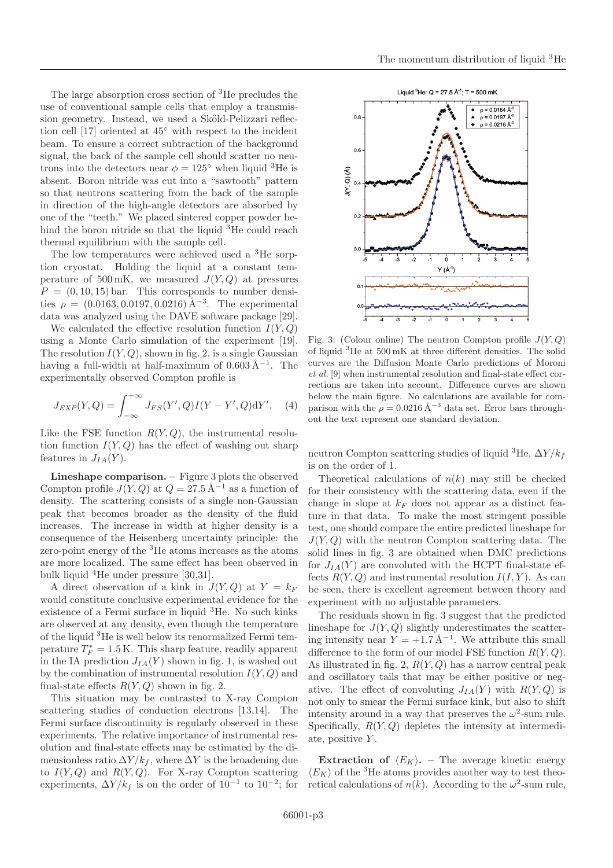The large absorption cross section of <sup>3</sup>He precludes the use of conventional sample cells that employ a transmission geometry. Instead, we used a Sköld-Pelizzari reflection cell [17] oriented at 45◦ with respect to the incident beam. To ensure a correct subtraction of the background signal, the back of the sample cell should scatter no neutrons into the detectors near  $\phi = 125^{\circ}$  when liquid <sup>3</sup>He is absent. Boron nitride was cut into a "sawtooth" pattern so that neutrons scattering from the back of the sample in direction of the high-angle detectors are absorbed by one of the "teeth." We placed sintered copper powder behind the boron nitride so that the liquid <sup>3</sup>He could reach thermal equilibrium with the sample cell.

The low temperatures were achieved used a <sup>3</sup>He sorption cryostat. Holding the liquid at a constant temperature of 500 mK, we measured  $J(Y,Q)$  at pressures  $P = (0, 10, 15)$  bar. This corresponds to number densities  $\rho = (0.0163, 0.0197, 0.0216) \text{ Å}^{-3}$ . The experimental data was analyzed using the DAVE software package [29].

We calculated the effective resolution function  $I(Y,Q)$ using a Monte Carlo simulation of the experiment [19]. The resolution  $I(Y, Q)$ , shown in fig. 2, is a single Gaussian having a full-width at half-maximum of  $0.603 \text{\AA}^{-1}$ . The experimentally observed Compton profile is

$$
J_{EXP}(Y,Q) = \int_{-\infty}^{+\infty} J_{FS}(Y',Q)I(Y - Y',Q)dY'. \quad (4)
$$

Like the FSE function  $R(Y,Q)$ , the instrumental resolution function  $I(Y,Q)$  has the effect of washing out sharp features in  $J_{IA}(Y)$ .

**Lineshape comparison. –** Figure 3 plots the observed Compton profile  $J(Y,Q)$  at  $Q = 27.5 \text{ Å}^{-1}$  as a function of density. The scattering consists of a single non-Gaussian peak that becomes broader as the density of the fluid increases. The increase in width at higher density is a consequence of the Heisenberg uncertainty principle: the zero-point energy of the <sup>3</sup>He atoms increases as the atoms are more localized. The same effect has been observed in bulk liquid <sup>4</sup>He under pressure [30,31].

A direct observation of a kink in  $J(Y,Q)$  at  $Y = k_F$ would constitute conclusive experimental evidence for the existence of a Fermi surface in liquid <sup>3</sup>He. No such kinks are observed at any density, even though the temperature of the liquid <sup>3</sup>He is well below its renormalized Fermi temperature  $T_F^* = 1.5 \text{ K}$ . This sharp feature, readily apparent in the IA prediction  $J_{IA}(Y)$  shown in fig. 1, is washed out by the combination of instrumental resolution  $I(Y, Q)$  and final-state effects  $R(Y,Q)$  shown in fig. 2.

This situation may be contrasted to X-ray Compton scattering studies of conduction electrons [13,14]. The Fermi surface discontinuity is regularly observed in these experiments. The relative importance of instrumental resolution and final-state effects may be estimated by the dimensionless ratio  $\Delta Y / k_f$ , where  $\Delta Y$  is the broadening due to  $I(Y,Q)$  and  $R(Y,Q)$ . For X-ray Compton scattering experiments,  $\Delta Y / k_f$  is on the order of 10<sup>-1</sup> to 10<sup>-2</sup>; for



Fig. 3: (Colour online) The neutron Compton profile  $J(Y,Q)$ of liquid <sup>3</sup>He at 500 mK at three different densities. The solid curves are the Diffusion Monte Carlo predictions of Moroni *et al.* [9] when instrumental resolution and final-state effect corrections are taken into account. Difference curves are shown below the main figure. No calculations are available for comparison with the  $\rho = 0.0216 \text{ Å}^{-3}$  data set. Error bars throughout the text represent one standard deviation.

neutron Compton scattering studies of liquid <sup>3</sup>He,  $\Delta Y/k_f$ is on the order of 1.

Theoretical calculations of  $n(k)$  may still be checked for their consistency with the scattering data, even if the change in slope at  $k_F$  does not appear as a distinct feature in that data. To make the most stringent possible test, one should compare the entire predicted lineshape for  $J(Y,Q)$  with the neutron Compton scattering data. The solid lines in fig. 3 are obtained when DMC predictions for  $J_{IA}(Y)$  are convoluted with the HCPT final-state effects  $R(Y,Q)$  and instrumental resolution  $I(I, Y)$ . As can be seen, there is excellent agreement between theory and experiment with no adjustable parameters.

The residuals shown in fig. 3 suggest that the predicted lineshape for  $J(Y,Q)$  slightly underestimates the scattering intensity near  $Y = +1.7 \text{ Å}^{-1}$ . We attribute this small difference to the form of our model FSE function  $R(Y,Q)$ . As illustrated in fig. 2,  $R(Y, Q)$  has a narrow central peak and oscillatory tails that may be either positive or negative. The effect of convoluting  $J_{IA}(Y)$  with  $R(Y,Q)$  is not only to smear the Fermi surface kink, but also to shift intensity around in a way that preserves the  $\omega^2$ -sum rule. Specifically,  $R(Y, Q)$  depletes the intensity at intermediate, positive  $Y$ .

**Extraction of**  $\langle E_K \rangle$ . – The average kinetic energy  $\langle E_K \rangle$  of the <sup>3</sup>He atoms provides another way to test theoretical calculations of  $n(k)$ . According to the  $\omega^2$ -sum rule,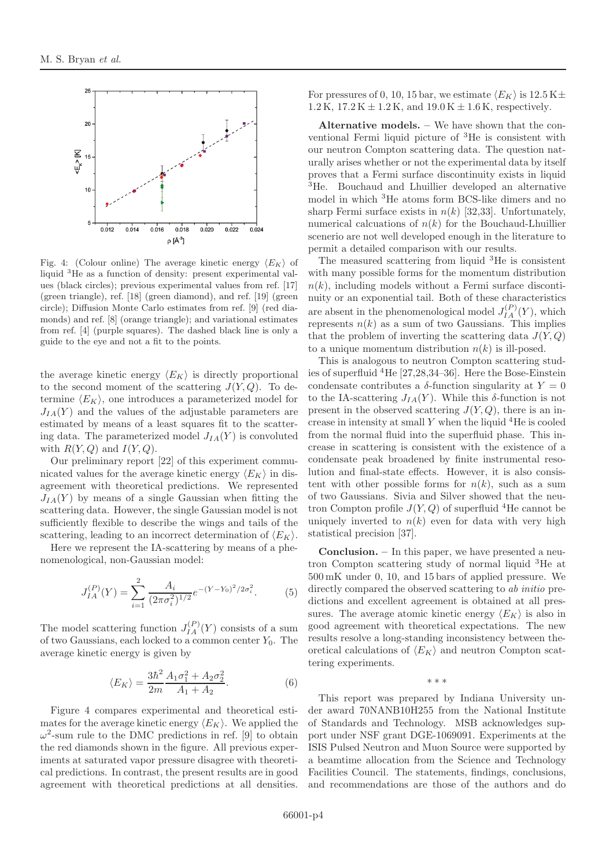

Fig. 4: (Colour online) The average kinetic energy  $\langle E_K \rangle$  of liquid <sup>3</sup>He as a function of density: present experimental values (black circles); previous experimental values from ref. [17] (green triangle), ref. [18] (green diamond), and ref. [19] (green circle); Diffusion Monte Carlo estimates from ref. [9] (red diamonds) and ref. [8] (orange triangle); and variational estimates from ref. [4] (purple squares). The dashed black line is only a guide to the eye and not a fit to the points.

the average kinetic energy  $\langle E_K \rangle$  is directly proportional to the second moment of the scattering  $J(Y,Q)$ . To determine  $\langle E_K \rangle$ , one introduces a parameterized model for  $J_{IA}(Y)$  and the values of the adjustable parameters are estimated by means of a least squares fit to the scattering data. The parameterized model  $J_{IA}(Y)$  is convoluted with  $R(Y,Q)$  and  $I(Y,Q)$ .

Our preliminary report [22] of this experiment communicated values for the average kinetic energy  $\langle E_K \rangle$  in disagreement with theoretical predictions. We represented  $J_{IA}(Y)$  by means of a single Gaussian when fitting the scattering data. However, the single Gaussian model is not sufficiently flexible to describe the wings and tails of the scattering, leading to an incorrect determination of  $\langle E_K \rangle$ .

Here we represent the IA-scattering by means of a phenomenological, non-Gaussian model:

$$
J_{IA}^{(P)}(Y) = \sum_{i=1}^{2} \frac{A_i}{(2\pi\sigma_i^2)^{1/2}} e^{-(Y - Y_0)^2/2\sigma_i^2}.
$$
 (5)

The model scattering function  $J_{IA}^{(P)}(Y)$  consists of a sum of two Gaussians, each locked to a common center  $Y_0$ . The average kinetic energy is given by

$$
\langle E_K \rangle = \frac{3\hbar^2}{2m} \frac{A_1 \sigma_1^2 + A_2 \sigma_2^2}{A_1 + A_2}.
$$
 (6)

Figure 4 compares experimental and theoretical estimates for the average kinetic energy  $\langle E_K \rangle$ . We applied the  $\omega^2$ -sum rule to the DMC predictions in ref. [9] to obtain the red diamonds shown in the figure. All previous experiments at saturated vapor pressure disagree with theoretical predictions. In contrast, the present results are in good agreement with theoretical predictions at all densities.

For pressures of 0, 10, 15 bar, we estimate  $\langle E_K \rangle$  is 12.5 K $\pm$ 1.2 K,  $17.2 K \pm 1.2 K$ , and  $19.0 K \pm 1.6 K$ , respectively.

**Alternative models. –** We have shown that the conventional Fermi liquid picture of <sup>3</sup>He is consistent with our neutron Compton scattering data. The question naturally arises whether or not the experimental data by itself proves that a Fermi surface discontinuity exists in liquid <sup>3</sup>He. Bouchaud and Lhuillier developed an alternative model in which <sup>3</sup>He atoms form BCS-like dimers and no sharp Fermi surface exists in  $n(k)$  [32,33]. Unfortunately, numerical calcuations of  $n(k)$  for the Bouchaud-Lhuillier scenerio are not well developed enough in the literature to permit a detailed comparison with our results.

The measured scattering from liquid  ${}^{3}$ He is consistent with many possible forms for the momentum distribution  $n(k)$ , including models without a Fermi surface discontinuity or an exponential tail. Both of these characteristics are absent in the phenomenological model  $J_{IA}^{(P)}(Y)$ , which represents  $n(k)$  as a sum of two Gaussians. This implies that the problem of inverting the scattering data  $J(Y,Q)$ to a unique momentum distribution  $n(k)$  is ill-posed.

This is analogous to neutron Compton scattering studies of superfluid  ${}^{4}$ He [27,28,34–36]. Here the Bose-Einstein condensate contributes a  $\delta$ -function singularity at  $Y = 0$ to the IA-scattering  $J_{IA}(Y)$ . While this  $\delta$ -function is not present in the observed scattering  $J(Y,Q)$ , there is an increase in intensity at small  $Y$  when the liquid  ${}^{4}$ He is cooled from the normal fluid into the superfluid phase. This increase in scattering is consistent with the existence of a condensate peak broadened by finite instrumental resolution and final-state effects. However, it is also consistent with other possible forms for  $n(k)$ , such as a sum of two Gaussians. Sivia and Silver showed that the neutron Compton profile  $J(Y,Q)$  of superfluid <sup>4</sup>He cannot be uniquely inverted to  $n(k)$  even for data with very high statistical precision [37].

**Conclusion. –** In this paper, we have presented a neutron Compton scattering study of normal liquid <sup>3</sup>He at 500 mK under 0, 10, and 15 bars of applied pressure. We directly compared the observed scattering to *ab initio* predictions and excellent agreement is obtained at all pressures. The average atomic kinetic energy  $\langle E_K \rangle$  is also in good agreement with theoretical expectations. The new results resolve a long-standing inconsistency between theoretical calculations of  $\langle E_K \rangle$  and neutron Compton scattering experiments.

This report was prepared by Indiana University under award 70NANB10H255 from the National Institute of Standards and Technology. MSB acknowledges support under NSF grant DGE-1069091. Experiments at the ISIS Pulsed Neutron and Muon Source were supported by a beamtime allocation from the Science and Technology Facilities Council. The statements, findings, conclusions, and recommendations are those of the authors and do

∗∗∗